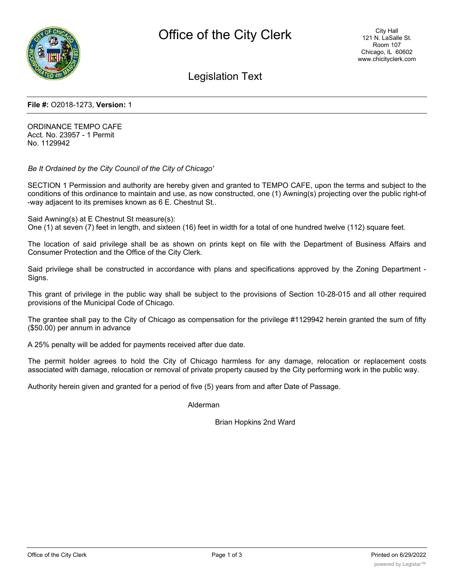

Legislation Text

#### **File #:** O2018-1273, **Version:** 1

ORDINANCE TEMPO CAFE Acct. No. 23957 - 1 Permit No. 1129942

*Be It Ordained by the City Council of the City of Chicago'*

SECTION 1 Permission and authority are hereby given and granted to TEMPO CAFE, upon the terms and subject to the conditions of this ordinance to maintain and use, as now constructed, one (1) Awning(s) projecting over the public right-of -way adjacent to its premises known as 6 E. Chestnut St..

Said Awning(s) at E Chestnut St measure(s):

One (1) at seven (7) feet in length, and sixteen (16) feet in width for a total of one hundred twelve (112) square feet.

The location of said privilege shall be as shown on prints kept on file with the Department of Business Affairs and Consumer Protection and the Office of the City Clerk.

Said privilege shall be constructed in accordance with plans and specifications approved by the Zoning Department - Signs.

This grant of privilege in the public way shall be subject to the provisions of Section 10-28-015 and all other required provisions of the Municipal Code of Chicago.

The grantee shall pay to the City of Chicago as compensation for the privilege #1129942 herein granted the sum of fifty (\$50.00) per annum in advance

A 25% penalty will be added for payments received after due date.

The permit holder agrees to hold the City of Chicago harmless for any damage, relocation or replacement costs associated with damage, relocation or removal of private property caused by the City performing work in the public way.

Authority herein given and granted for a period of five (5) years from and after Date of Passage.

Alderman

Brian Hopkins 2nd Ward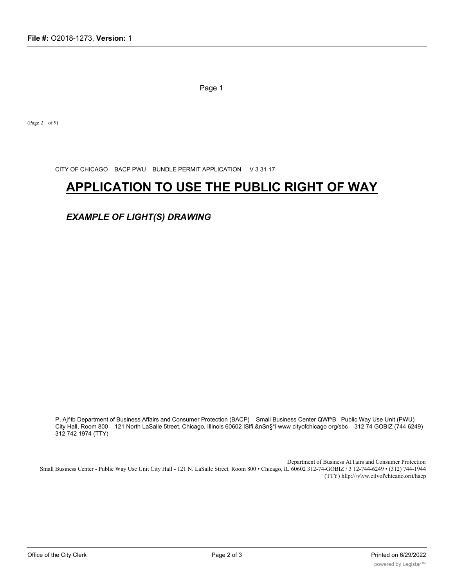Page 1

(Page 2 of 9)

CITY OF CHICAGO BACP PWU BUNDLE PERMIT APPLICATION V 3 31 17

# **APPLICATION TO USE THE PUBLIC RIGHT OF WAY**

*EXAMPLE OF LIGHT(S) DRAWING*

P, Aj^tb Department of Business Affairs and Consumer Protection (BACP) Small Business Center QWf^B Public Way Use Unit (PWU) City Hall, Room 800 121 North LaSalle 5treet, Chicago, Illinois 60602 ISlfi.&nSn§\*i www cityofchicago org/sbc 312 74 GOBIZ (744 6249) 312 742 1974 (TTY)

Department of Business AITairs and Consumer Protection Small Business Center - Public Way Use Unit City Hall - 121 N. LaSalle Street. Room 800 • Chicago, IL 60602 312-74-GOBIZ / 3 12-744-6249 • (312) 744-1944 (TTY) hllp://\v\vw.cilvol'chtcano.orit/haep